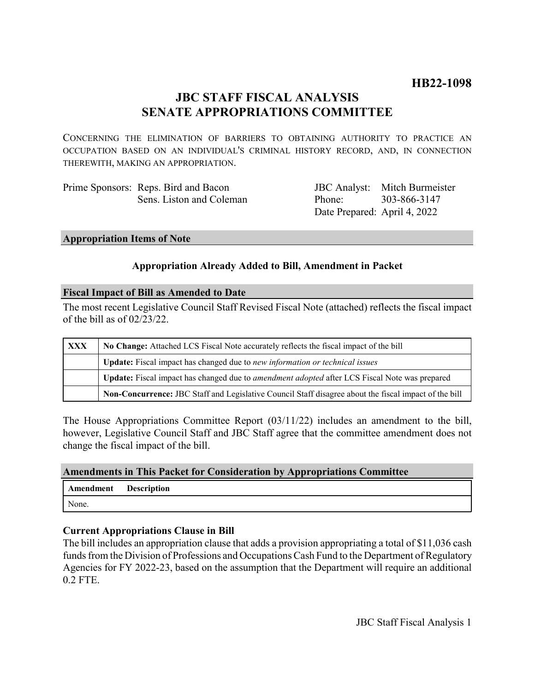## **HB22-1098**

## **JBC STAFF FISCAL ANALYSIS SENATE APPROPRIATIONS COMMITTEE**

CONCERNING THE ELIMINATION OF BARRIERS TO OBTAINING AUTHORITY TO PRACTICE AN OCCUPATION BASED ON AN INDIVIDUAL'S CRIMINAL HISTORY RECORD, AND, IN CONNECTION THEREWITH, MAKING AN APPROPRIATION.

| Prime Sponsors: Reps. Bird and Bacon |                              | <b>JBC</b> Analyst: Mitch Burmeister |
|--------------------------------------|------------------------------|--------------------------------------|
| Sens. Liston and Coleman             | Phone: 303-866-3147          |                                      |
|                                      | Date Prepared: April 4, 2022 |                                      |

#### **Appropriation Items of Note**

### **Appropriation Already Added to Bill, Amendment in Packet**

### **Fiscal Impact of Bill as Amended to Date**

The most recent Legislative Council Staff Revised Fiscal Note (attached) reflects the fiscal impact of the bill as of 02/23/22.

| XXX | No Change: Attached LCS Fiscal Note accurately reflects the fiscal impact of the bill                       |  |
|-----|-------------------------------------------------------------------------------------------------------------|--|
|     | Update: Fiscal impact has changed due to new information or technical issues                                |  |
|     | <b>Update:</b> Fiscal impact has changed due to <i>amendment adopted</i> after LCS Fiscal Note was prepared |  |
|     | Non-Concurrence: JBC Staff and Legislative Council Staff disagree about the fiscal impact of the bill       |  |

The House Appropriations Committee Report (03/11/22) includes an amendment to the bill, however, Legislative Council Staff and JBC Staff agree that the committee amendment does not change the fiscal impact of the bill.

### **Amendments in This Packet for Consideration by Appropriations Committee**

| Amendment Description |  |
|-----------------------|--|
| None.                 |  |

#### **Current Appropriations Clause in Bill**

The bill includes an appropriation clause that adds a provision appropriating a total of \$11,036 cash funds from the Division of Professions and Occupations Cash Fund to the Department of Regulatory Agencies for FY 2022-23, based on the assumption that the Department will require an additional 0.2 FTE.